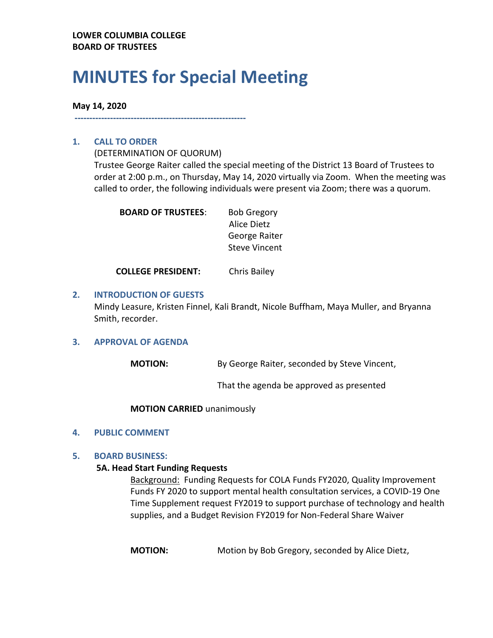# **MINUTES for Special Meeting**

# **May 14, 2020**

**----------------------------------------------------------**

# **1. CALL TO ORDER**

(DETERMINATION OF QUORUM)

Trustee George Raiter called the special meeting of the District 13 Board of Trustees to order at 2:00 p.m., on Thursday, May 14, 2020 virtually via Zoom. When the meeting was called to order, the following individuals were present via Zoom; there was a quorum.

| <b>BOARD OF TRUSTEES:</b> | <b>Bob Gregory</b>   |
|---------------------------|----------------------|
|                           | Alice Dietz          |
|                           | George Raiter        |
|                           | <b>Steve Vincent</b> |
|                           |                      |

**COLLEGE PRESIDENT:** Chris Bailey

## **2. INTRODUCTION OF GUESTS**

Mindy Leasure, Kristen Finnel, Kali Brandt, Nicole Buffham, Maya Muller, and Bryanna Smith, recorder.

#### **3. APPROVAL OF AGENDA**

**MOTION:** By George Raiter, seconded by Steve Vincent,

That the agenda be approved as presented

#### **MOTION CARRIED** unanimously

#### **4. PUBLIC COMMENT**

#### **5. BOARD BUSINESS:**

#### **5A. Head Start Funding Requests**

Background: Funding Requests for COLA Funds FY2020, Quality Improvement Funds FY 2020 to support mental health consultation services, a COVID-19 One Time Supplement request FY2019 to support purchase of technology and health supplies, and a Budget Revision FY2019 for Non-Federal Share Waiver

**MOTION:** Motion by Bob Gregory, seconded by Alice Dietz,